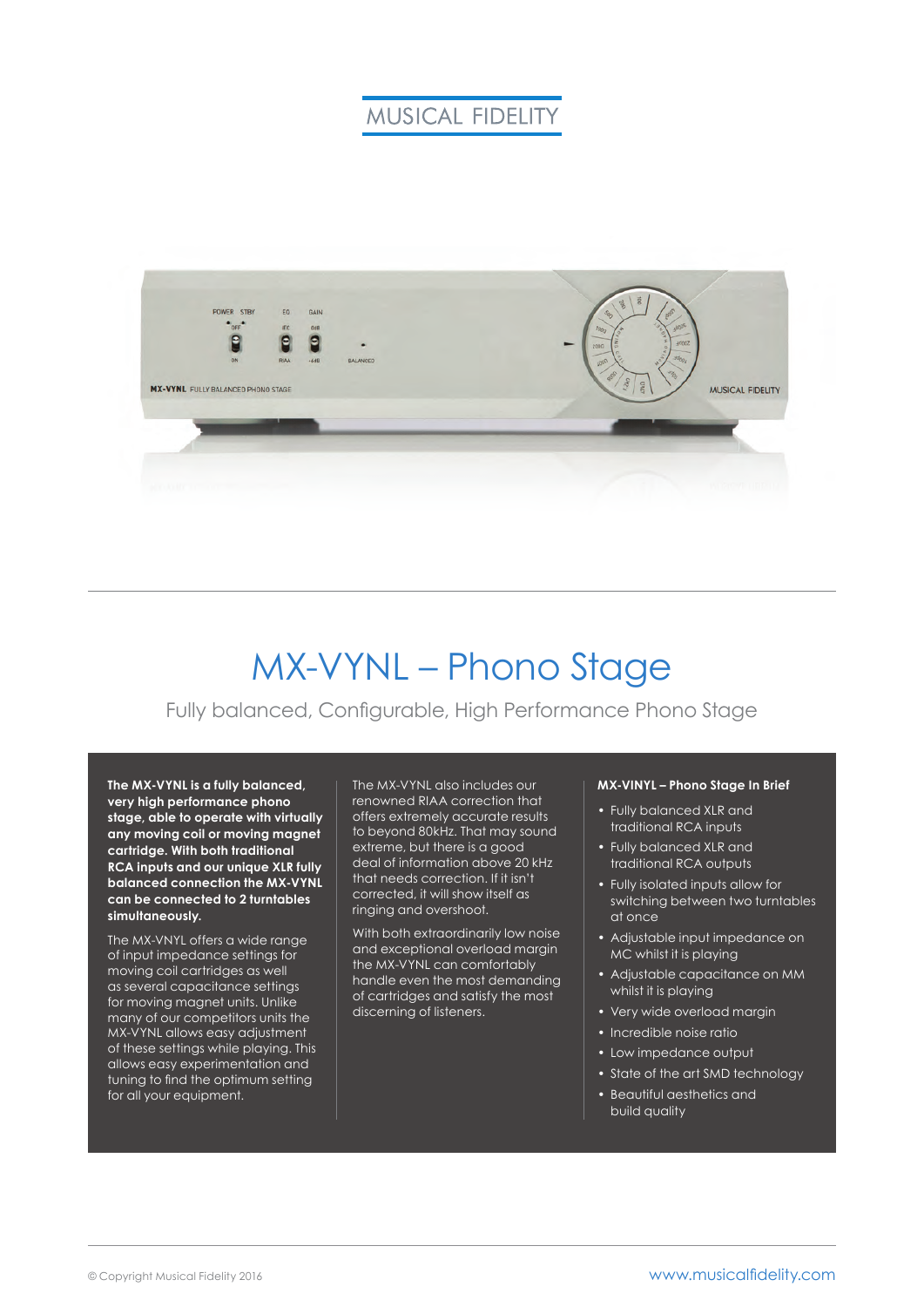# **MUSICAL FIDELITY**



# MX-VYNL – Phono Stage

### Fully balanced, Configurable, High Performance Phono Stage

**The MX-VYNL is a fully balanced, very high performance phono stage, able to operate with virtually any moving coil or moving magnet cartridge. With both traditional RCA inputs and our unique XLR fully balanced connection the MX-VYNL can be connected to 2 turntables simultaneously.**

The MX-VNYL offers a wide range of input impedance settings for moving coil cartridges as well as several capacitance settings for moving magnet units. Unlike many of our competitors units the MX-VYNL allows easy adjustment of these settings while playing. This allows easy experimentation and tuning to find the optimum setting for all your equipment.

The MX-VYNL also includes our renowned RIAA correction that offers extremely accurate results to beyond 80kHz. That may sound extreme, but there is a good deal of information above 20 kHz that needs correction. If it isn't corrected, it will show itself as ringing and overshoot.

With both extraordinarily low noise and exceptional overload margin the MX-VYNL can comfortably handle even the most demanding of cartridges and satisfy the most discerning of listeners.

#### **MX-VINYL – Phono Stage In Brief**

- Fully balanced XLR and traditional RCA inputs
- Fully balanced XLR and traditional RCA outputs
- Fully isolated inputs allow for switching between two turntables at once
- Adjustable input impedance on MC whilst it is playing
- Adjustable capacitance on MM whilst it is playing
- Very wide overload margin
- Incredible noise ratio
- Low impedance output
- State of the art SMD technology
- Beautiful aesthetics and build quality